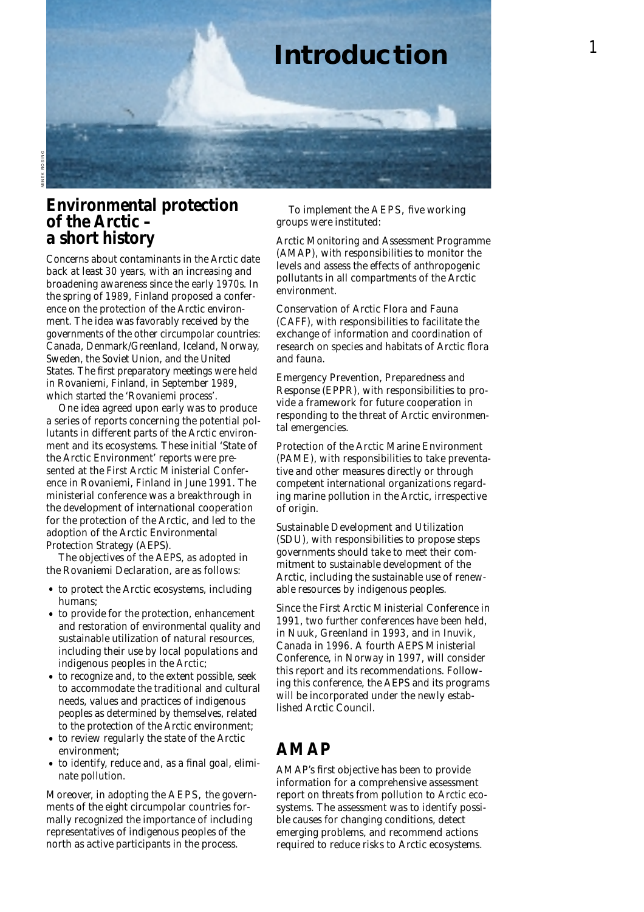

### **Environmental protection of the Arctic – a short history**

Concerns about contaminants in the Arctic date back at least 30 years, with an increasing and broadening awareness since the early 1970s. In the spring of 1989, Finland proposed a conference on the protection of the Arctic environment. The idea was favorably received by the governments of the other circumpolar countries: Canada, Denmark/Greenland, Iceland, Norway, Sweden, the Soviet Union, and the United States. The first preparatory meetings were held in Rovaniemi, Finland, in September 1989 , which started the 'Rovaniemi process'.

One idea agreed upon early was to produce a series of reports concerning the potential pollutants in different parts of the Arctic environment and its ecosystems. These initial 'State of the Arctic Environment' reports were presented at the First Arctic Ministerial Conference in Rovaniemi, Finland in June 1991. The ministerial conference was a breakthrough in the development of international cooperation for the protection of the Arctic, and led to the adoption of the Arctic Environmental Protection Strategy (AEPS).

The objectives of the AEPS, as adopted in the Rovaniemi Declaration, are as follows:

- to protect the Arctic ecosystems, including humans;
- to provide for the protection, enhancement and restoration of environmental quality and sustainable utilization of natural resources, including their use by local populations and indigenous peoples in the Arctic;
- to recognize and, to the extent possible, seek to accommodate the traditional and cultural needs, values and practices of indigenous peoples as determined by themselves, related to the protection of the Arctic environment;
- to review regularly the state of the Arctic environment;
- to identify, reduce and, as a final goal, eliminate pollution.

Moreover, in adopting the AEPS, the governments of the eight circumpolar countries formally recognized the importance of including representatives of indigenous peoples of the north as active participants in the process.

To implement the AEPS, five working groups were instituted:

*Arctic Monitoring and Assessment Programme (AMAP),* with responsibilities to monitor the levels and assess the effects of anthropogenic pollutants in all compartments of the Arctic environment.

*Conservation of Arctic Flora and Fauna (CAFF),* with responsibilities to facilitate the exchange of information and coordination of research on species and habitats of Arctic flora and fauna.

*Emergency Prevention, Preparedness and Response (EPPR),* with responsibilities to provide a framework for future cooperation in responding to the threat of Arctic environmental emergencies.

*Protection of the Arctic Marine Environment (PAME),* with responsibilities to take preventative and other measures directly or through competent international organizations regarding marine pollution in the Arctic, irrespective of origin.

*Sustainable Development and Utilization (SDU),* with responsibilities to propose steps governments should take to meet their commitment to sustainable development of the Arctic, including the sustainable use of renewable resources by indigenous peoples.

Since the First Arctic Ministerial Conference in 1991, two further conferences have been held, in Nuuk, Greenland in 1993, and in Inuvik, Canada in 1996. A fourth AEPS Ministerial Conference, in Norway in 1997, will consider this report and its recommendations. Following this conference, the AEPS and its programs will be incorporated under the newly established Arctic Council.

### **AMAP**

AMAP's first objective has been to provide information for a comprehensive assessment report on threats from pollution to Arctic ecosystems. The assessment was to identify possible causes for changing conditions, detect emerging problems, and recommend actions required to reduce risks to Arctic ecosystems.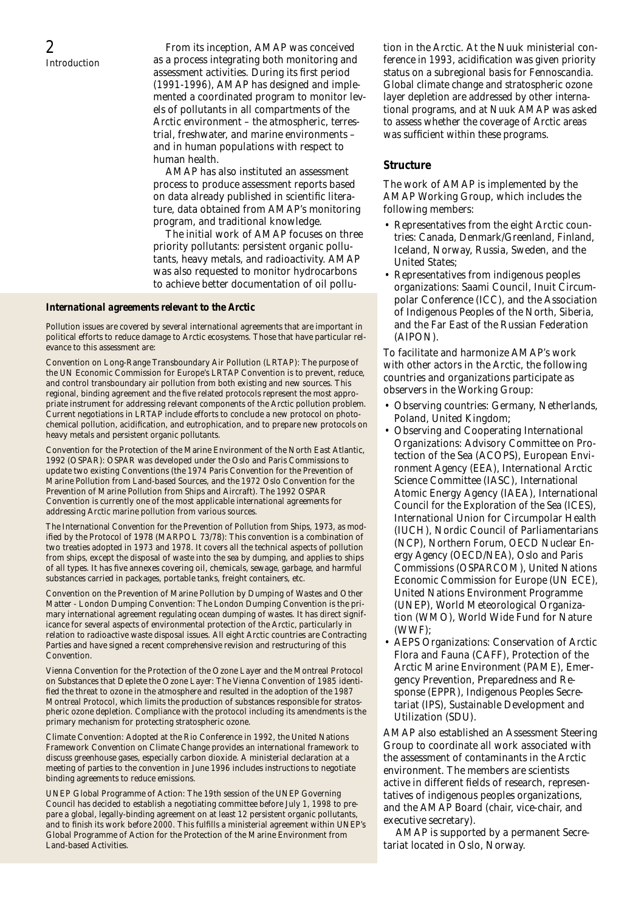From its inception, AMAP was conceived as a process integrating both monitoring and assessment activities. During its first period (1991-1996), AMAP has designed and implemented a coordinated program to monitor levels of pollutants in all compartments of the Arctic environment – the atmospheric, terrestrial, freshwater, and marine environments – and in human populations with respect to human health.

AMAP has also instituted an assessment process to produce assessment reports based on data already published in scientific literature, data obtained from AMAP's monitoring program, and traditional knowledge.

The initial work of AMAP focuses on three priority pollutants: persistent organic pollutants, heavy metals, and radioactivity. AMAP was also requested to monitor hydrocarbons to achieve better documentation of oil pollu-

#### *International agreements relevant to the Arctic*

Pollution issues are covered by several international agreements that are important in political efforts to reduce damage to Arctic ecosystems. Those that have particular relevance to this assessment are:

*Convention on Long-Range Transboundary Air Pollution (LRTAP):* The purpose of the UN Economic Commission for Europe's LRTAP Convention is to prevent, reduce, and control transboundary air pollution from both existing and new sources. This regional, binding agreement and the five related protocols represent the most appropriate instrument for addressing relevant components of the Arctic pollution problem. Current negotiations in LRTAP include efforts to conclude a new protocol on photochemical pollution, acidification, and eutrophication, and to prepare new protocols on heavy metals and persistent organic pollutants.

*Convention for the Protection of the Marine Environment of the North East Atlantic, 1992 (OSPAR):* OSPAR was developed under the Oslo and Paris Commissions to update two existing Conventions (the 1974 Paris Convention for the Prevention of Marine Pollution from Land-based Sources, and the 1972 Oslo Convention for the Prevention of Marine Pollution from Ships and Aircraft). The 1992 OSPAR Convention is currently one of the most applicable international agreements for addressing Arctic marine pollution from various sources.

The International Convention for the Prevention of Pollution from Ships, 1973, as mod*ified by the Protocol of 1978 (MARPOL 73/78):* This convention is a combination of two treaties adopted in 1973 and 1978. It covers all the technical aspects of pollution from ships, except the disposal of waste into the sea by dumping, and applies to ships of all types. It has five annexes covering oil, chemicals, sewage, garbage, and harmful substances carried in packages, portable tanks, freight containers, etc.

*Convention on the Prevention of Marine Pollution by Dumping of Wastes and Other Matter - London Dumping Convention:* The London Dumping Convention is the primary international agreement regulating ocean dumping of wastes. It has direct significance for several aspects of environmental protection of the Arctic, particularly in relation to radioactive waste disposal issues. All eight Arctic countries are Contracting Parties and have signed a recent comprehensive revision and restructuring of this Convention.

*Vienna Convention for the Protection of the Ozone Layer and the Montreal Protocol on Substances that Deplete the Ozone Layer*: The Vienna Convention of 1985 identified the threat to ozone in the atmosphere and resulted in the adoption of the 1987 Montreal Protocol, which limits the production of substances responsible for stratospheric ozone depletion. Compliance with the protocol including its amendments is the primary mechanism for protecting stratospheric ozone.

*Climate Convention*: Adopted at the Rio Conference in 1992, the United Nations Framework Convention on Climate Change provides an international framework to discuss greenhouse gases, especially carbon dioxide. A ministerial declaration at a meeting of parties to the convention in June 1996 includes instructions to negotiate binding agreements to reduce emissions.

*UNEP Global Programme of Action:* The 19th session of the UNEP Governing Council has decided to establish a negotiating committee before July 1, 1998 to prepare a global, legally-binding agreement on at least 12 persistent organic pollutants, and to finish its work before 2000. This fulfills a ministerial agreement within UNEP's Global Programme of Action for the Protection of the Marine Environment from Land-based Activities.

tion in the Arctic. At the Nuuk ministerial conference in 1993, acidification was given priority status on a subregional basis for Fennoscandia. Global climate change and stratospheric ozone layer depletion are addressed by other international programs, and at Nuuk AMAP was asked to assess whether the coverage of Arctic areas was sufficient within these programs.

#### *Structure*

The work of AMAP is implemented by the AMAP Working Group, which includes the following members:

- Representatives from the eight Arctic countries: Canada, Denmark/Greenland, Finland, Iceland, Norway, Russia, Sweden, and the United States;
- Representatives from indigenous peoples organizations: Saami Council, Inuit Circumpolar Conference (ICC), and the Association of Indigenous Peoples of the North, Siberia, and the Far East of the Russian Federation (AIPON).

To facilitate and harmonize AMAP's work with other actors in the Arctic, the following countries and organizations participate as observers in the Working Group:

- Observing countries: Germany, Netherlands, Poland, United Kingdom;
- Observing and Cooperating International Organizations: Advisory Committee on Protection of the Sea (ACOPS), European Environment Agency (EEA), International Arctic Science Committee (IASC), International Atomic Energy Agency (IAEA), International Council for the Exploration of the Sea (ICES), International Union for Circumpolar Health (IUCH), Nordic Council of Parliamentarians (NCP), Northern Forum, OECD Nuclear Energy Agency (OECD/NEA), Oslo and Paris Commissions (OSPARCOM), United Nations Economic Commission for Europe (UN ECE), United Nations Environment Programme (UNEP), World Meteorological Organization (WMO), World Wide Fund for Nature (WWF);
- AEPS Organizations: Conservation of Arctic Flora and Fauna (CAFF), Protection of the Arctic Marine Environment (PAME), Emergency Prevention, Preparedness and Response (EPPR), Indigenous Peoples Secretariat (IPS), Sustainable Development and Utilization (SDU).

AMAP also established an Assessment Steering Group to coordinate all work associated with the assessment of contaminants in the Arctic environment. The members are scientists active in different fields of research, representatives of indigenous peoples organizations, and the AMAP Board (chair, vice-chair, and executive secretary).

AMAP is supported by a permanent Secretariat located in Oslo, Norway.